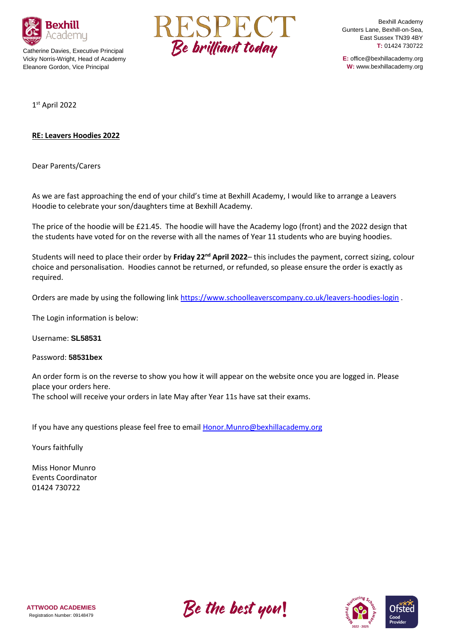

Catherine Davies, Executive Principal Vicky Norris-Wright, Head of Academy Eleanore Gordon, Vice Principal



Bexhill Academy Gunters Lane, Bexhill-on-Sea, East Sussex TN39 4BY **T:** 01424 730722

**E:** office@bexhillacademy.org **W:** www.bexhillacademy.org

1 st April 2022

## **RE: Leavers Hoodies 2022**

Dear Parents/Carers

As we are fast approaching the end of your child's time at Bexhill Academy, I would like to arrange a Leavers Hoodie to celebrate your son/daughters time at Bexhill Academy.

The price of the hoodie will be £21.45. The hoodie will have the Academy logo (front) and the 2022 design that the students have voted for on the reverse with all the names of Year 11 students who are buying hoodies.

Students will need to place their order by **Friday 22nd April 2022**– this includes the payment, correct sizing, colour choice and personalisation. Hoodies cannot be returned, or refunded, so please ensure the order is exactly as required.

Orders are made by using the following link<https://www.schoolleaverscompany.co.uk/leavers-hoodies-login> .

The Login information is below:

Username: **SL58531**

Password: **58531bex**

An order form is on the reverse to show you how it will appear on the website once you are logged in. Please place your orders here.

The school will receive your orders in late May after Year 11s have sat their exams.

If you have any questions please feel free to email [Honor.Munro@bexhillacademy.org](mailto:Honor.Munro@bexhillacademy.org)

Yours faithfully

Miss Honor Munro Events Coordinator 01424 730722